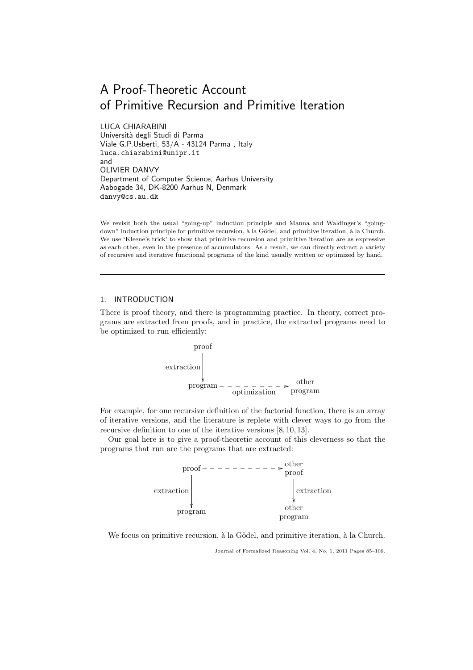# A Proof-Theoretic Account of Primitive Recursion and Primitive Iteration

LUCA CHIARABINI Università degli Studi di Parma Viale G.P.Usberti, 53/A - 43124 Parma , Italy luca.chiarabini@unipr.it and OLIVIER DANVY Department of Computer Science, Aarhus University Aabogade 34, DK-8200 Aarhus N, Denmark danvy@cs.au.dk

We revisit both the usual "going-up" induction principle and Manna and Waldinger's "goingdown" induction principle for primitive recursion, à la Gödel, and primitive iteration, à la Church. We use 'Kleene's trick' to show that primitive recursion and primitive iteration are as expressive as each other, even in the presence of accumulators. As a result, we can directly extract a variety of recursive and iterative functional programs of the kind usually written or optimized by hand.

## 1. INTRODUCTION

There is proof theory, and there is programming practice. In theory, correct programs are extracted from proofs, and in practice, the extracted programs need to be optimized to run efficiently:



For example, for one recursive definition of the factorial function, there is an array of iterative versions, and the literature is replete with clever ways to go from the recursive definition to one of the iterative versions [8, 10, 13].

Our goal here is to give a proof-theoretic account of this cleverness so that the programs that run are the programs that are extracted:



We focus on primitive recursion, à la Gödel, and primitive iteration, à la Church.

Journal of Formalized Reasoning Vol. 4, No. 1, 2011 Pages 85–109.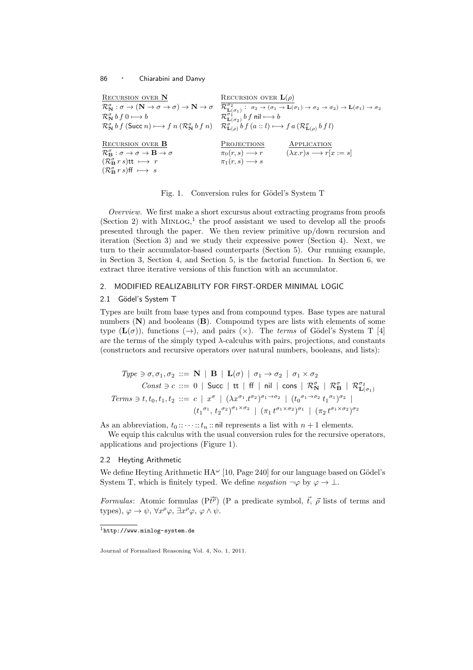| <b>RECURSION OVER N</b>                                                           | RECURSION OVER $\mathbf{L}(\rho)$                                                                                                                                                                                                                                                                                                                              |
|-----------------------------------------------------------------------------------|----------------------------------------------------------------------------------------------------------------------------------------------------------------------------------------------------------------------------------------------------------------------------------------------------------------------------------------------------------------|
|                                                                                   | $\mathcal{R}^{\sigma}_{\mathbf{N}}:\sigma\rightarrow (\mathbf{N}\rightarrow \sigma\rightarrow \sigma)\rightarrow \mathbf{N}\rightarrow \sigma\quad \mathcal{R}^{\sigma_2}_{\mathbf{L}(\sigma_1)}:\ \sigma_2\rightarrow (\sigma_1\rightarrow \mathbf{L}(\sigma_1)\rightarrow \sigma_2\rightarrow \sigma_2)\rightarrow \mathbf{L}(\sigma_1)\rightarrow \sigma_2$ |
| $\mathcal{R}_{\mathbf{N}}^{\sigma} b f 0 \longmapsto b$                           | $\mathcal{R}_{\mathbf{L}(\sigma_2)}^{\sigma_1} b f$ nil $\longmapsto b$                                                                                                                                                                                                                                                                                        |
|                                                                                   | $\mathcal{R}_{\mathbf{N}}^{\sigma} b f$ (Succ n) $\longmapsto f n (\mathcal{R}_{\mathbf{N}}^{\sigma} b f n)$ $\mathcal{R}_{\mathbf{L}(\rho)}^{\sigma} b f (a::l) \longmapsto f a (\mathcal{R}_{\mathbf{L}(\rho)}^{\sigma} b f l)$                                                                                                                              |
| <b>RECURSION OVER B</b>                                                           | <b>PROJECTIONS</b><br>APPLICATION                                                                                                                                                                                                                                                                                                                              |
| $\mathcal{R}_{\mathbf{B}}^{\sigma} : \sigma \to \sigma \to \mathbf{B} \to \sigma$ | $(\lambda x. r)s \longrightarrow r[x := s]$<br>$\pi_0(r,s) \longrightarrow r$                                                                                                                                                                                                                                                                                  |
| $(\mathcal{R}_{\mathbf{B}}^{\sigma} r s)$ tt $\longmapsto r$                      | $\pi_1(r,s) \longrightarrow s$                                                                                                                                                                                                                                                                                                                                 |
| $(\mathcal{R}_{\mathbf{B}}^{\sigma} r s)$ ff $\longmapsto s$                      |                                                                                                                                                                                                                                                                                                                                                                |

Fig. 1. Conversion rules for Gödel's System T

*Overview.* We first make a short excursus about extracting programs from proofs  $(Section 2)$  with MINLOG,<sup>1</sup> the proof assistant we used to develop all the proofs presented through the paper. We then review primitive up/down recursion and iteration (Section 3) and we study their expressive power (Section 4). Next, we turn to their accumulator-based counterparts (Section 5). Our running example, in Section 3, Section 4, and Section 5, is the factorial function. In Section 6, we extract three iterative versions of this function with an accumulator.

## 2. MODIFIED REALIZABILITY FOR FIRST-ORDER MINIMAL LOGIC

## 2.1 Gödel's System T

Types are built from base types and from compound types. Base types are natural numbers  $(N)$  and booleans  $(B)$ . Compound types are lists with elements of some type  $(L(\sigma))$ , functions  $(\rightarrow)$ , and pairs  $(\times)$ . The *terms* of Gödel's System T [4] are the terms of the simply typed  $\lambda$ -calculus with pairs, projections, and constants (constructors and recursive operators over natural numbers, booleans, and lists):

$$
Type \ni \sigma, \sigma_1, \sigma_2 ::= \mathbf{N} \mid \mathbf{B} \mid \mathbf{L}(\sigma) \mid \sigma_1 \to \sigma_2 \mid \sigma_1 \times \sigma_2
$$
  
\n
$$
Const \ni c ::= 0 \mid Succ \mid tt \mid ff \mid nil \mid cons \mid \mathcal{R}_N^{\sigma} \mid \mathcal{R}_B^{\sigma} \mid \mathcal{R}_{\mathbf{L}(\sigma_1)}^{\sigma_2}
$$
  
\n
$$
Terms \ni t, t_0, t_1, t_2 ::= c \mid x^{\sigma} \mid (\lambda x^{\sigma_1} \cdot t^{\sigma_2})^{\sigma_1 \to \sigma_2} \mid (t_0^{\sigma_1 \to \sigma_2} \cdot t_1^{\sigma_1})^{\sigma_2} \mid (t_1^{\sigma_1 \to \sigma_2} \cdot t_1^{\sigma_1})^{\sigma_2}
$$
  
\n
$$
(t_1^{\sigma_1} \cdot t_2^{\sigma_2})^{\sigma_1 \times \sigma_2} \mid (\pi_1 t^{\sigma_1 \times \sigma_2})^{\sigma_1} \mid (\pi_2 t^{\sigma_1 \times \sigma_2})^{\sigma_2}
$$

As an abbreviation,  $t_0 :: \cdots :: t_n :: \text{nil }$  represents a list with  $n + 1$  elements.

We equip this calculus with the usual conversion rules for the recursive operators, applications and projections (Figure 1).

#### 2.2 Heyting Arithmetic

We define Heyting Arithmetic  $HA^{\omega}$  [10, Page 240] for our language based on Gödel's System T, which is finitely typed. We define *negation*  $\neg \varphi$  by  $\varphi \to \bot$ .

*Formulas*: Atomic formulas  $(P\vec{t}^{\rho})$  (P a predicate symbol,  $\vec{t}$ ,  $\vec{\rho}$  lists of terms and types),  $\varphi \to \psi$ ,  $\forall x^{\rho} \varphi$ ,  $\exists x^{\rho} \varphi$ ,  $\varphi \wedge \psi$ .

 $^{\rm 1}$  <br>http://www.minlog-system.de

Journal of Formalized Reasoning Vol. 4, No. 1, 2011.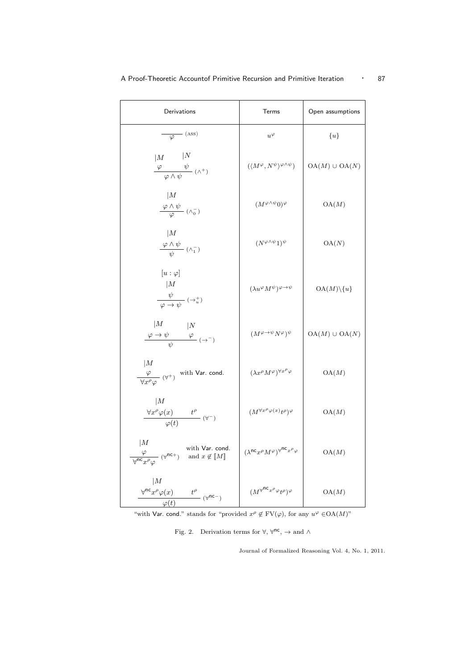| Derivations                                                                                                      | Terms                                                                             | Open assumptions         |
|------------------------------------------------------------------------------------------------------------------|-----------------------------------------------------------------------------------|--------------------------|
| $\frac{\ }{\varphi}$ (ASS)                                                                                       | $u^{\varphi}$                                                                     | $\{u\}$                  |
| N<br> M<br>$\frac{\varphi \qquad \psi}{\varphi \wedge \psi} \; (\wedge^+)$                                       | $(\langle M^{\varphi}, N^{\psi} \rangle^{\varphi \wedge \psi})$                   | $OA(M) \cup OA(N)$       |
| M<br>$\frac{\varphi \wedge \psi}{\varphi}$ ( $\wedge_0^-$ )                                                      | $(M^{\varphi \wedge \psi}0)^{\varphi}$                                            | OA(M)                    |
| M<br>$\frac{\varphi \wedge \psi}{\psi}$ ( $\wedge_1^-$ )                                                         | $(N^{\varphi \wedge \psi} 1)^{\psi}$                                              | OA(N)                    |
| $[u:\varphi]$<br> M<br>$\frac{\psi}{\varphi \to \psi}$ $(\to_u^+)$                                               | $(\lambda u^{\varphi}M^{\psi})^{\varphi\rightarrow\psi}$                          | $OA(M) \backslash \{u\}$ |
| M<br>$\frac{\varphi \to \psi}{\psi}$ $\left(\to^-\right)$                                                        | $(M^{\varphi \to \psi} N^{\varphi})^{\psi}$                                       | $OA(M) \cup OA(N)$       |
| M<br>$\frac{\varphi}{\sqrt{x^{\rho}}\varphi}$ ( $\forall^{+}$ ) with Var. cond.                                  | $(\lambda x^\rho M^\varphi)^{\forall x^\rho\varphi}$                              | OA(M)                    |
| M<br>$\frac{\forall x^{\rho} \varphi(x) \qquad t^{\rho}}{\varphi(t)} \; (\forall^{-})$                           | $(M^{\forall x^{\rho} \varphi(x)} t^{\rho})^{\varphi}$                            | OA(M)                    |
| M<br>with Var. cond.<br>$\frac{\varphi}{\sqrt{\pi c} x^{\rho} \varphi}$ ( $\forall^{nc+}$ ) and $x \notin [M]$   | $(\lambda^{\mathsf{nc}} x^\rho M^\varphi)^{\forall^{\mathsf{nc}} x^\rho \varphi}$ | OA(M)                    |
| M<br>$\frac{\forall^{nc} x^{\rho} \varphi(x)}{\langle x \rangle}$ $t^{\rho}$ ( $\forall^{nc-}$ )<br>$\varphi(t)$ | $(M^{\forall^{\textsf{nc}} x^{\rho} \varphi} t^{\rho})^{\varphi}$                 | OA(M)                    |

"with Var. cond." stands for "provided  $x^{\rho} \notin FV(\varphi)$ , for any  $u^{\varphi} \in OA(M)$ "

Fig. 2. Derivation terms for  $\forall$ ,  $\forall$ <sup>nc</sup>,  $\rightarrow$  and  $\land$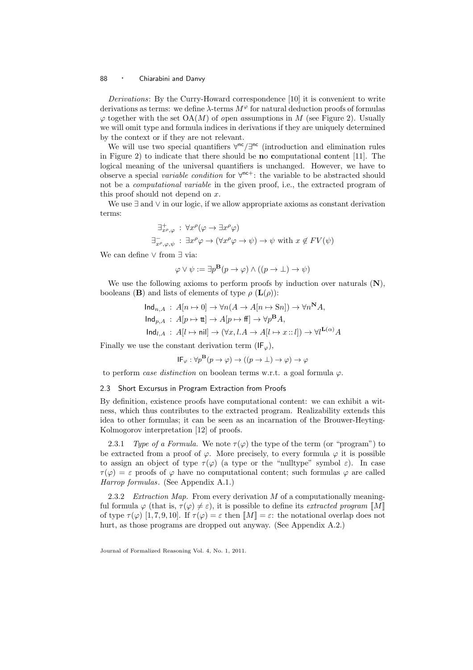*Derivations*: By the Curry-Howard correspondence [10] it is convenient to write derivations as terms: we define  $\lambda$ -terms  $M^{\varphi}$  for natural deduction proofs of formulas  $\varphi$  together with the set  $OA(M)$  of *open assumptions* in M (see Figure 2). Usually we will omit type and formula indices in derivations if they are uniquely determined by the context or if they are not relevant.

We will use two special quantifiers  $\forall^{nc}/\exists^{nc}$  (introduction and elimination rules in Figure 2) to indicate that there should be no computational content [11]. The logical meaning of the universal quantifiers is unchanged. However, we have to observe a special *variable condition* for ∀ nc+: the variable to be abstracted should not be a *computational variable* in the given proof, i.e., the extracted program of this proof should not depend on  $x$ .

We use ∃ and ∨ in our logic, if we allow appropriate axioms as constant derivation terms:

$$
\exists_{x^{\rho},\varphi}^{+} : \forall x^{\rho}(\varphi \to \exists x^{\rho}\varphi)
$$
  

$$
\exists_{x^{\rho},\varphi,\psi}^{-} : \exists x^{\rho}\varphi \to (\forall x^{\rho}\varphi \to \psi) \to \psi \text{ with } x \notin FV(\psi)
$$

We can define ∨ from ∃ via:

$$
\varphi \lor \psi := \exists p^{\mathbf{B}}(p \to \varphi) \land ((p \to \bot) \to \psi)
$$

We use the following axioms to perform proofs by induction over naturals  $(N)$ , booleans (**B**) and lists of elements of type  $\rho$  (**L**( $\rho$ )):

$$
\begin{aligned}\n\text{Ind}_{n,A} \, : \, A[n \mapsto 0] &\rightarrow \forall n(A \rightarrow A[n \mapsto \text{Sn}]) \rightarrow \forall n^{\mathbf{N}}A, \\
\text{Ind}_{p,A} \, : \, A[p \mapsto \text{tt}] &\rightarrow A[p \mapsto \text{ff}] \rightarrow \forall p^{\mathbf{B}}A, \\
\text{Ind}_{l,A} \, : \, A[l \mapsto \text{nil}] &\rightarrow (\forall x, l.A \rightarrow A[l \mapsto x::l]) \rightarrow \forall l^{\mathbf{L}(\alpha)}A\n\end{aligned}
$$

Finally we use the constant derivation term  $(\mathsf{IF}_{\varphi})$ ,

$$
\mathsf{IF}_{\varphi} : \forall p^{\mathbf{B}}(p \to \varphi) \to ((p \to \bot) \to \varphi) \to \varphi
$$

to perform *case distinction* on boolean terms w.r.t. a goal formula ϕ.

#### 2.3 Short Excursus in Program Extraction from Proofs

By definition, existence proofs have computational content: we can exhibit a witness, which thus contributes to the extracted program. Realizability extends this idea to other formulas; it can be seen as an incarnation of the Brouwer-Heyting-Kolmogorov interpretation [12] of proofs.

2.3.1 *Type of a Formula.* We note  $\tau(\varphi)$  the type of the term (or "program") to be extracted from a proof of  $\varphi$ . More precisely, to every formula  $\varphi$  it is possible to assign an object of type  $\tau(\varphi)$  (a type or the "nulltype" symbol  $\varepsilon$ ). In case  $\tau(\varphi) = \varepsilon$  proofs of  $\varphi$  have no computational content; such formulas  $\varphi$  are called *Harrop formulas*. (See Appendix A.1.)

2.3.2 *Extraction Map.* From every derivation M of a computationally meaningful formula  $\varphi$  (that is,  $\tau(\varphi) \neq \varepsilon$ ), it is possible to define its *extracted program* [M] of type  $\tau(\varphi)$  [1,7,9,10]. If  $\tau(\varphi) = \varepsilon$  then  $\llbracket M \rrbracket = \varepsilon$ : the notational overlap does not hurt, as those programs are dropped out anyway. (See Appendix A.2.)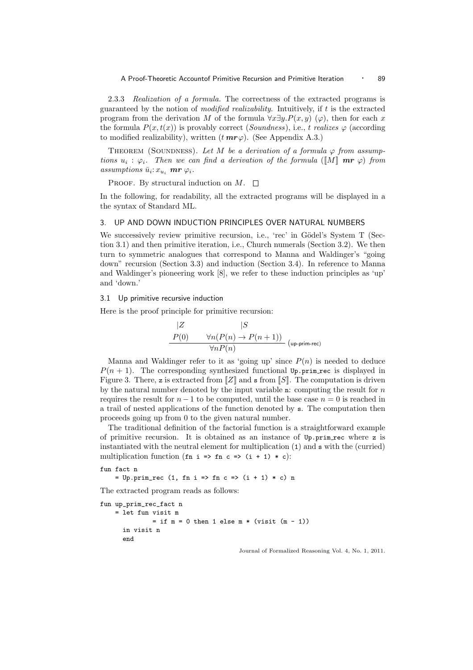2.3.3 *Realization of a formula.* The correctness of the extracted programs is guaranteed by the notion of *modified realizability*. Intuitively, if t is the extracted program from the derivation M of the formula  $\forall x \exists y.P(x, y)$  ( $\varphi$ ), then for each x the formula  $P(x, t(x))$  is provably correct (*Soundness*), i.e., t *realizes*  $\varphi$  (according to modified realizability), written  $(t \, mr\varphi)$ . (See Appendix A.3.)

THEOREM (SOUNDNESS). Let M be a derivation of a formula  $\varphi$  from assump*tions*  $u_i : \varphi_i$ . Then we can find a derivation of the formula ([M] **mr**  $\varphi$ ) from  $assumptions \bar{u}_i: x_{u_i}$  **mr**  $\varphi_i$ .

PROOF. By structural induction on  $M$ .  $\square$ 

In the following, for readability, all the extracted programs will be displayed in a the syntax of Standard ML.

## 3. UP AND DOWN INDUCTION PRINCIPLES OVER NATURAL NUMBERS

We successively review primitive recursion, i.e., 'rec' in Gödel's System T (Section 3.1) and then primitive iteration, i.e., Church numerals (Section 3.2). We then turn to symmetric analogues that correspond to Manna and Waldinger's "going down" recursion (Section 3.3) and induction (Section 3.4). In reference to Manna and Waldinger's pioneering work [8], we refer to these induction principles as 'up' and 'down.'

#### 3.1 Up primitive recursive induction

Here is the proof principle for primitive recursion:

$$
\begin{array}{cc}\n|Z & |S \\
P(0) & \forall n(P(n) \to P(n+1)) \\
& \forall nP(n)\n\end{array}
$$
 (up-prim-rec)

Manna and Waldinger refer to it as 'going up' since  $P(n)$  is needed to deduce  $P(n + 1)$ . The corresponding synthesized functional Up.prim rec is displayed in Figure 3. There, z is extracted from  $\llbracket Z \rrbracket$  and s from  $\llbracket S \rrbracket$ . The computation is driven by the natural number denoted by the input variable n: computing the result for  $n$ requires the result for  $n - 1$  to be computed, until the base case  $n = 0$  is reached in a trail of nested applications of the function denoted by s. The computation then proceeds going up from 0 to the given natural number.

The traditional definition of the factorial function is a straightforward example of primitive recursion. It is obtained as an instance of Up.prim rec where z is instantiated with the neutral element for multiplication (1) and s with the (curried) multiplication function (fn i => fn c => (i + 1) \* c):

 $=$  Up.prim\_rec (1, fn i => fn c => (i + 1) \* c) n

The extracted program reads as follows:

```
fun up_prim_rec_fact n
    = let fun visit m
              = if m = 0 then 1 else m * (visit (m - 1))in visit n
      end
```
fun fact n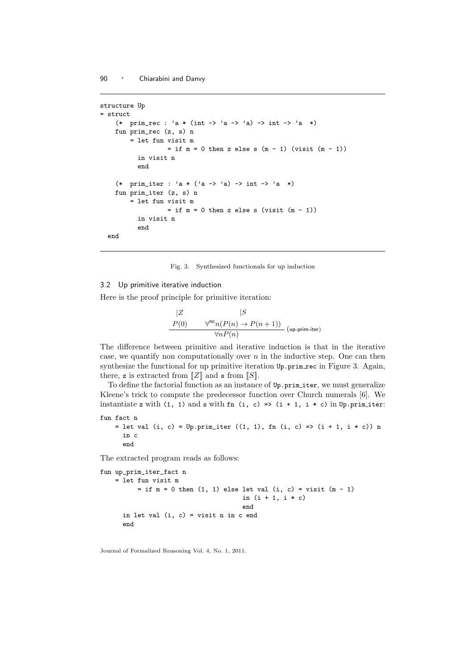```
structure Up
= struct
    (* prim_rec : 'a * (int -> 'a -> 'a) -> int -> 'a *)
    fun prim_rec (z, s) n
        = let fun visit m
                  = if m = 0 then z else s (m - 1) (visit (m - 1))
         in visit n
         end
    (* prim_iter : 'a * ('a -> 'a) -> int -> 'a *)
    fun prim_iter (z, s) n
        = let fun visit m
                  = if m = 0 then z else s (visit (m - 1))
          in visit n
          end
  end
```
Fig. 3. Synthesized functionals for up induction

## 3.2 Up primitive iterative induction

Here is the proof principle for primitive iteration:

$$
\begin{array}{ccc}\n|Z & |S & \\
P(0) & \forall^{nc} n(P(n) \to P(n+1)) & \\
\hline\n\forall n P(n)\n\end{array}
$$
 (up-prim-iter)

The difference between primitive and iterative induction is that in the iterative case, we quantify non computationally over  $n$  in the inductive step. One can then synthesize the functional for up primitive iteration  $Up.\text{prime}$  rec in Figure 3. Again, there, z is extracted from  $\llbracket Z \rrbracket$  and s from  $\llbracket S \rrbracket$ .

To define the factorial function as an instance of Up.prim iter, we must generalize Kleene's trick to compute the predecessor function over Church numerals [6]. We instantiate z with (1, 1) and s with fn (i, c) => (i + 1, i \* c) in Up.prim\_iter:

```
fun fact n
    = let val (i, c) = Up.prim_iter ((1, 1), fn (i, c) => (i + 1, i * c)) n
     in c
      end
```
The extracted program reads as follows:

```
fun up_prim_iter_fact n
    = let fun visit m
         = if m = 0 then (1, 1) else let val (i, c) = visit (m - 1)in (i + 1, i * c)end
      in let val (i, c) = visit n in c end
     end
```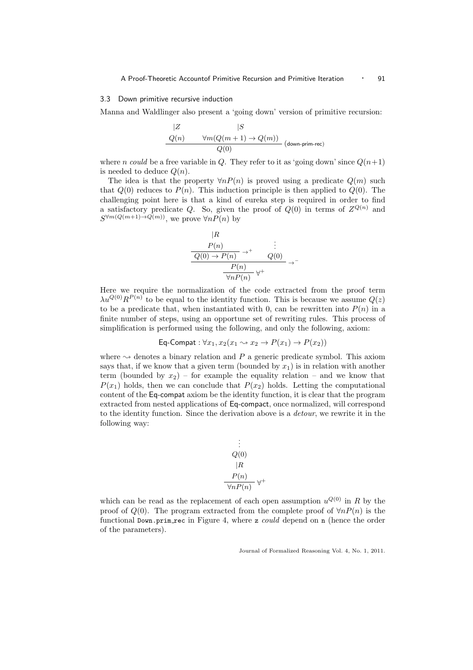#### 3.3 Down primitive recursive induction

Manna and Waldlinger also present a 'going down' version of primitive recursion:

$$
\begin{array}{cc} |Z & |S \\ \hline Q(n) & \forall m(Q(m+1) \to Q(m)) \\ \hline Q(0) & & \end{array} \text{(down-prim-rec)}
$$

where *n* could be a free variable in Q. They refer to it as 'going down' since  $Q(n+1)$ is needed to deduce  $Q(n)$ .

The idea is that the property  $\forall n P(n)$  is proved using a predicate  $O(m)$  such that  $Q(0)$  reduces to  $P(n)$ . This induction principle is then applied to  $Q(0)$ . The challenging point here is that a kind of eureka step is required in order to find a satisfactory predicate Q. So, given the proof of  $Q(0)$  in terms of  $Z^{Q(n)}$  and  $S^{\forall m(Q(m+1)\to Q(m))}$ , we prove  $\forall n P(n)$  by

$$
\frac{|R|}{P(n)} \rightarrow^+ \frac{\vdots}{Q(0) \rightarrow P(n)} \rightarrow^+ Q(0) \rightarrow^+
$$

$$
\frac{P(n)}{\forall n P(n)} \forall^+
$$

Here we require the normalization of the code extracted from the proof term  $\lambda u^{Q(0)} R^{P(n)}$  to be equal to the identity function. This is because we assume  $Q(z)$ to be a predicate that, when instantiated with 0, can be rewritten into  $P(n)$  in a finite number of steps, using an opportune set of rewriting rules. This process of simplification is performed using the following, and only the following, axiom:

$$
\textsf{Eq-Compat}: \forall x_1, x_2(x_1 \rightarrow x_2 \rightarrow P(x_1) \rightarrow P(x_2))
$$

where  $\sim$  denotes a binary relation and P a generic predicate symbol. This axiom says that, if we know that a given term (bounded by  $x_1$ ) is in relation with another term (bounded by  $x_2$ ) – for example the equality relation – and we know that  $P(x_1)$  holds, then we can conclude that  $P(x_2)$  holds. Letting the computational content of the Eq-compat axiom be the identity function, it is clear that the program extracted from nested applications of Eq-compact, once normalized, will correspond to the identity function. Since the derivation above is a *detour*, we rewrite it in the following way:

$$
\vdots
$$
  
\n
$$
Q(0)
$$
  
\n
$$
R
$$
  
\n
$$
P(n)
$$
  
\n
$$
\forall n P(n)
$$

which can be read as the replacement of each open assumption  $u^{Q(0)}$  in R by the proof of  $Q(0)$ . The program extracted from the complete proof of  $\forall nP(n)$  is the functional Down.prim rec in Figure 4, where z *could* depend on n (hence the order of the parameters).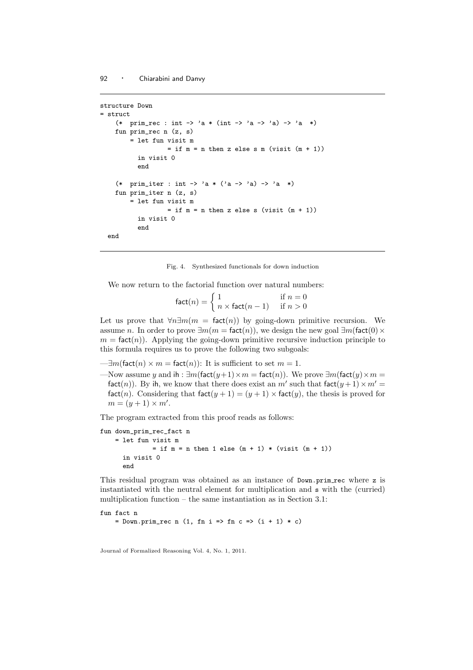```
structure Down
= struct
    (* prim_rec : int -> 'a * (int -> 'a -> 'a) -> 'a *)
    fun prim_rec n (z, s)
        = let fun visit m
                  = if m = n then z else s m (visit (m + 1))
          in visit 0
          end
    (* prim_iter : int -> 'a * ('a -> 'a) -> 'a *)
    fun prim_iter n (z, s)
        = let fun visit m
                  = if m = n then z else s (visit (m + 1))
          in visit 0
          end
  end
```
#### Fig. 4. Synthesized functionals for down induction

We now return to the factorial function over natural numbers:

 $fact(n) = \begin{cases} 1 & \text{if } n = 0 \\ \max fact(n-1) & \text{if } n > 0 \end{cases}$  $n \times$  fact $(n-1)$  if  $n > 0$ 

Let us prove that  $\forall n \exists m(m = \text{fact}(n))$  by going-down primitive recursion. We assume n. In order to prove  $\exists m(m = \text{fact}(n))$ , we design the new goal  $\exists m(\text{fact}(0) \times$  $m = \text{fact}(n)$ . Applying the going-down primitive recursive induction principle to this formula requires us to prove the following two subgoals:

- $-\exists m$ (fact $(n) \times m =$  fact $(n)$ ): It is sufficient to set  $m = 1$ .
- —Now assume y and ih :  $\exists m(\text{fact}(y+1)\times m = \text{fact}(n))$ . We prove  $\exists m(\text{fact}(y)\times m =$ fact(n)). By ih, we know that there does exist an  $m'$  such that  $\text{fact}(y+1) \times m' =$ fact(n). Considering that  $f$ act( $y + 1$ ) = ( $y + 1$ ) × fact(y), the thesis is proved for  $m = (y+1) \times m'.$

The program extracted from this proof reads as follows:

```
fun down_prim_rec_fact n
    = let fun visit m
              = if m = n then 1 else (m + 1) * (visit (m + 1))
      in visit 0
      end
```
This residual program was obtained as an instance of Down.prim rec where z is instantiated with the neutral element for multiplication and s with the (curried) multiplication function – the same instantiation as in Section 3.1:

```
fun fact n
    = Down.prim_rec n (1, fn i => fn c => (i + 1) * c)
```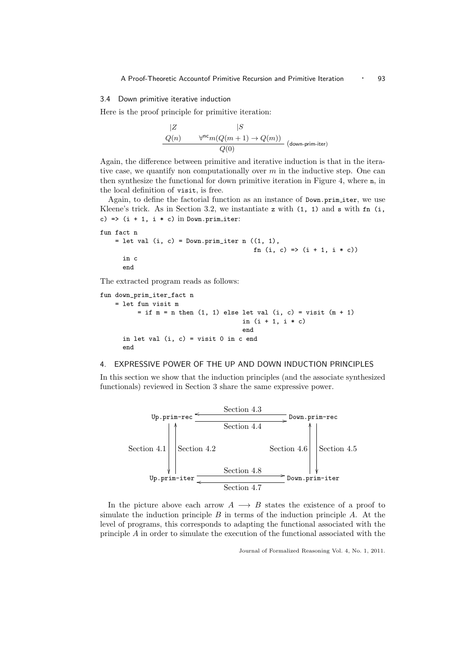## 3.4 Down primitive iterative induction

Here is the proof principle for primitive iteration:

$$
\begin{array}{cc} |Z & |S \\ \hline Q(n) & \forall^{\mathsf{nc}} m(Q(m+1) \to Q(m)) \\ \hline Q(0) & & \end{array} \text{(down-prim-iter)}
$$

Again, the difference between primitive and iterative induction is that in the iterative case, we quantify non computationally over  $m$  in the inductive step. One can then synthesize the functional for down primitive iteration in Figure 4, where n, in the local definition of visit, is free.

Again, to define the factorial function as an instance of Down.prim\_iter, we use Kleene's trick. As in Section 3.2, we instantiate z with  $(1, 1)$  and s with  $fn$   $(i, ...)$ c) =>  $(i + 1, i * c)$  in Down.prim\_iter:

```
fun fact n
    = let val (i, c) = Down.prim_iter n ((1, 1),
                                            fn (i, c) \Rightarrow (i + 1, i * c)in c
      end
```
The extracted program reads as follows:

```
fun down_prim_iter_fact n
    = let fun visit m
          = if m = n then (1, 1) else let val (i, c) = visit (m + 1)in (i + 1, i * c)end
      in let val (i, c) = visit 0 in c end
      end
```
## 4. EXPRESSIVE POWER OF THE UP AND DOWN INDUCTION PRINCIPLES

In this section we show that the induction principles (and the associate synthesized functionals) reviewed in Section 3 share the same expressive power.



In the picture above each arrow  $A \longrightarrow B$  states the existence of a proof to simulate the induction principle  $B$  in terms of the induction principle  $A$ . At the level of programs, this corresponds to adapting the functional associated with the principle A in order to simulate the execution of the functional associated with the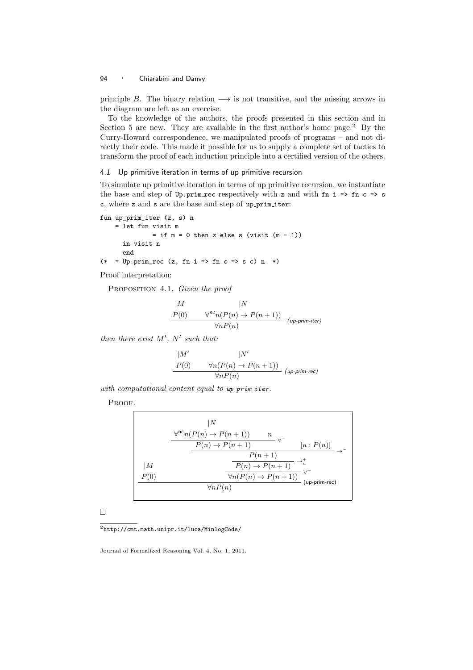principle B. The binary relation  $\longrightarrow$  is not transitive, and the missing arrows in the diagram are left as an exercise.

To the knowledge of the authors, the proofs presented in this section and in Section 5 are new. They are available in the first author's home page.<sup>2</sup> By the Curry-Howard correspondence, we manipulated proofs of programs – and not directly their code. This made it possible for us to supply a complete set of tactics to transform the proof of each induction principle into a certified version of the others.

## 4.1 Up primitive iteration in terms of up primitive recursion

To simulate up primitive iteration in terms of up primitive recursion, we instantiate the base and step of  $Up.\text{prime}$  rec respectively with z and with fn i => fn c => s c, where z and s are the base and step of up prim iter:

```
fun up_prim_iter (z, s) n
    = let fun visit m
             = if m = 0 then z else s (visit (m - 1))
     in visit n
     end
(* = Up.print\_rec (z, fn i => fn c => s c) n *
```
Proof interpretation:

Proposition 4.1. *Given the proof*

$$
|M \qquad |N
$$
  
\n
$$
P(0) \qquad \forall^{nc} n(P(n) \to P(n+1))
$$
  
\n
$$
\forall n P(n) \qquad (up-prim-iter)
$$

*then there exist* M′ *,* N′ *such that:*

$$
\begin{array}{ll} |M' & |N' \\ \hline P(0) & \forall n (P(n) \rightarrow P(n+1)) \\ & \forall n P(n) \end{array} \text{ ($\textit{up-prim-rec}$)} \label{eq:1}
$$

with computational content equal to up\_prim\_iter.

PROOF.

$$
\frac{|N \sqrt{\frac{p^n n (P(n) \to P(n+1))}{P(n) \to P(n+1)}}}{P(n+1)} \to -
$$
\n
$$
\frac{|M \times \frac{P(n) \to P(n+1)}{P(n) \to P(n+1)} \to +}
$$
\n
$$
\frac{P(0)}{\sqrt{n P(n)}} \times \frac{P(n) \to P(n+1)}{P(n)} \times +
$$
\n
$$
\frac{|M \to \frac{P(n) \to P(n+1)}{P(n) \to P(n+1)}}{P(n) \to P(n+1)}
$$
\n
$$
\frac{1}{P(n)} \times \frac{1}{P(n+1)}
$$
\n
$$
\frac{1}{P(n+1)} \times \frac{1}{P(n+1)}
$$
\n
$$
\frac{1}{P(n+1)} \times \frac{1}{P(n+1)}
$$
\n
$$
\frac{1}{P(n+1)} \times \frac{1}{P(n+1)}
$$
\n
$$
\frac{1}{P(n+1)} \times \frac{1}{P(n+1)}
$$
\n
$$
\frac{1}{P(n+1)} \times \frac{1}{P(n+1)}
$$
\n
$$
\frac{1}{P(n+1)} \times \frac{1}{P(n+1)}
$$
\n
$$
\frac{1}{P(n+1)} \times \frac{1}{P(n+1)}
$$
\n
$$
\frac{1}{P(n+1)} \times \frac{1}{P(n+1)}
$$
\n
$$
\frac{1}{P(n+1)} \times \frac{1}{P(n+1)}
$$
\n
$$
\frac{1}{P(n+1)} \times \frac{1}{P(n+1)}
$$
\n
$$
\frac{1}{P(n+1)} \times \frac{1}{P(n+1)}
$$
\n
$$
\frac{1}{P(n+1)} \times \frac{1}{P(n+1)}
$$
\n
$$
\frac{1}{P(n+1)} \times \frac{1}{P(n+1)}
$$
\n
$$
\frac{1}{P(n+1)} \times \frac{1}{P(n+1)}
$$
\n
$$
\frac{1}{P(n+1)} \times \frac{1}{P(n+1)}
$$
\n
$$
\frac{1}{P(n+1)} \times \frac{1}{P(n+1)}
$$
\n
$$
\frac{1}{P(n+1)} \times \frac{1}{P(n+1)}
$$
\n
$$
\frac{1}{P(n+1)} \times \frac{1}{P(n+1)}
$$
\n
$$
\frac{1}{
$$

 $\Box$ 

<sup>2</sup>http://cmt.math.unipr.it/luca/MinlogCode/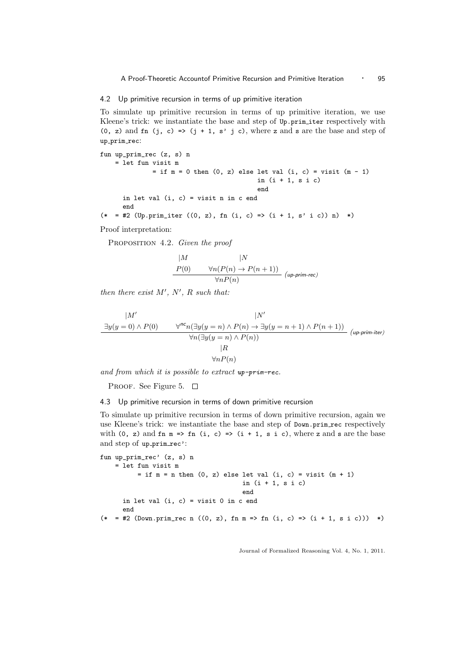A Proof-Theoretic Accountof Primitive Recursion and Primitive Iteration · 95

## 4.2 Up primitive recursion in terms of up primitive iteration

To simulate up primitive recursion in terms of up primitive iteration, we use Kleene's trick: we instantiate the base and step of Up.prim iter respectively with  $(0, z)$  and fn  $(j, c) \Rightarrow (j + 1, s' j c)$ , where z and s are the base and step of up\_prim\_rec:

```
fun up_prim_rec (z, s) n
   = let fun visit m
             = if m = 0 then (0, z) else let val (i, c) = visit (m - 1)in (i + 1, s i c)end
     in let val (i, c) = visit n in c end
     end
(* = #2 (Up.prim_iter ((0, z), fn (i, c) => (i + 1, s' i c)) n) *)
```
Proof interpretation:

Proposition 4.2. *Given the proof*

$$
\begin{array}{cc}\n|M & |N \\
P(0) & \forall n(P(n) \to P(n+1)) \\
\hline\n\forall nP(n) & (\text{up-prim-rec})\n\end{array}
$$

*then there exist*  $M'$ ,  $N'$ ,  $R$  *such that:* 

$$
\frac{|M'|}{\exists y(y=0) \land P(0)} \qquad \frac{|N'|}{\forall n(\exists y(y=n) \land P(n) \to \exists y(y=n+1) \land P(n+1))} \quad (\text{up-prim-iter})
$$
\n
$$
\frac{|M'|}{\forall n(\exists y(y=n) \land P(n))} \quad (\text{up-prim-iter})
$$
\n
$$
|R
$$
\n
$$
\forall nP(n)
$$

*and from which it is possible to extract* up-prim-rec*.*

PROOF. See Figure 5.  $\square$ 

4.3 Up primitive recursion in terms of down primitive recursion

To simulate up primitive recursion in terms of down primitive recursion, again we use Kleene's trick: we instantiate the base and step of Down.prim rec respectively with (0, z) and fn  $m \Rightarrow$  fn (i, c) => (i + 1, s i c), where z and s are the base and step of up\_prim\_rec':

```
fun up_prim_rec' (z, s) n
   = let fun visit m
         = if m = n then (0, z) else let val (i, c) = visit (m + 1)in (i + 1, s i c)end
     in let val (i, c) = visit 0 in c end
      end
(* = #2 (Down.prim_rec n ((0, z), fn m => fn (i, c) => (i + 1, s i c))) *)
```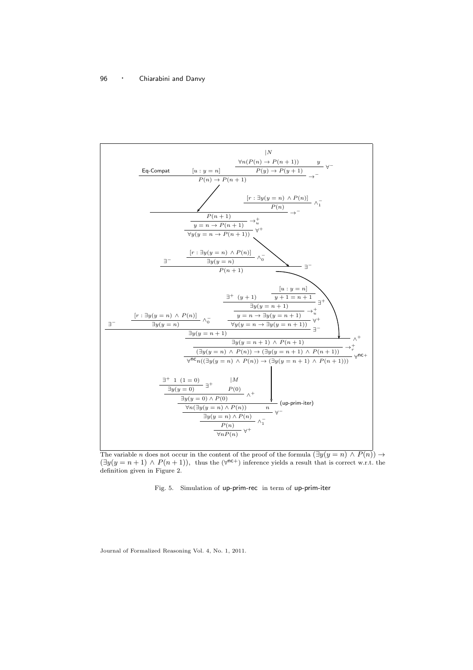

The variable n does not occur in the content of the proof of the formula  $(\exists y(y = n) \land P(n)) \rightarrow$  $(\exists y(y=n+1) \land P(n+1)),$  thus the  $(\forall^{nc+})$  inference yields a result that is correct w.r.t. the definition given in Figure 2.

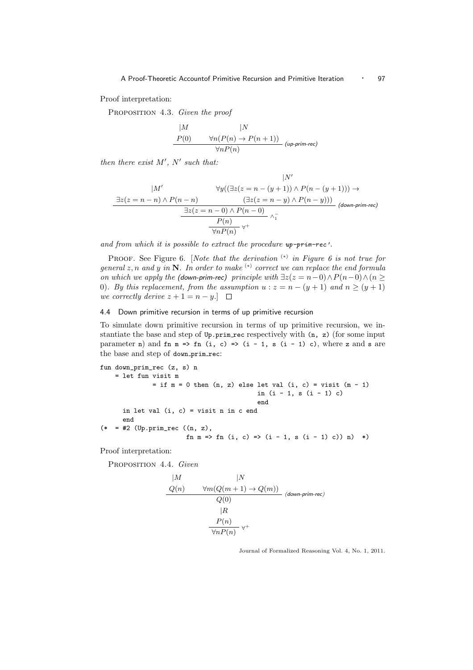Proof interpretation:

Proposition 4.3. *Given the proof*

$$
\begin{array}{cc}\n|M & |N \\
P(0) & \forall n(P(n) \to P(n+1)) \\
\hline\n\forall nP(n)\n\end{array} (up-prim-rec)
$$

*then there exist* M′ *,* N′ *such that:*

|M′ ∃z(z = n − n) ∧ P(n − n) |N ′ ∀y((∃z(z = n − (y + 1)) ∧ P(n − (y + 1))) → (∃z(z = n − y) ∧ P(n − y))) (down-prim-rec) ∃z(z = n − 0) ∧ P(n − 0) ∧ − 1 P(n) ∀ + ∀nP(n)

*and from which it is possible to extract the procedure* up-prim-rec'*.*

PROOF. See Figure 6. [*Note that the derivation* <sup>(\*)</sup> in Figure 6 is not true for *general* z, n *and* y *in* N*. In order to make* (∗) *correct we can replace the end formula on which we apply the* (down-prim-rec) *principle with*  $\exists z(z = n-0) \land P(n-0) \land (n \geq 0)$ 0)*. By this replacement, from the assumption*  $u : z = n - (y + 1)$  *and*  $n \ge (y + 1)$ *we correctly derive*  $z + 1 = n - y$ .  $\Box$ 

#### 4.4 Down primitive recursion in terms of up primitive recursion

To simulate down primitive recursion in terms of up primitive recursion, we instantiate the base and step of Up.prim rec respectively with (n, z) (for some input parameter n) and fn m => fn (i, c) => (i - 1, s (i - 1) c), where z and s are the base and step of down\_prim\_rec:

```
fun down_prim_rec (z, s) n
    = let fun visit m
              = if m = 0 then (n, z) else let val (i, c) = visit (m - 1)in (i - 1, s (i - 1) c)end
      in let val (i, c) = visit n in c end
      end
(* = #2 (Up.print\_rec ((n, z)),fn m => fn (i, c) => (i - 1, s (i - 1) c)) n) *)
```
Proof interpretation:

Proposition 4.4. *Given*

$$
\begin{array}{cc}\n|M & |N \\
\hline\nQ(n) & \forall m(Q(m+1) \to Q(m)) \\
\hline\nQ(0) & & \\
|R & \\
\hline\n\frac{P(n)}{\forall n P(n)} \forall^{+}\n\end{array} (down-prim-rec)
$$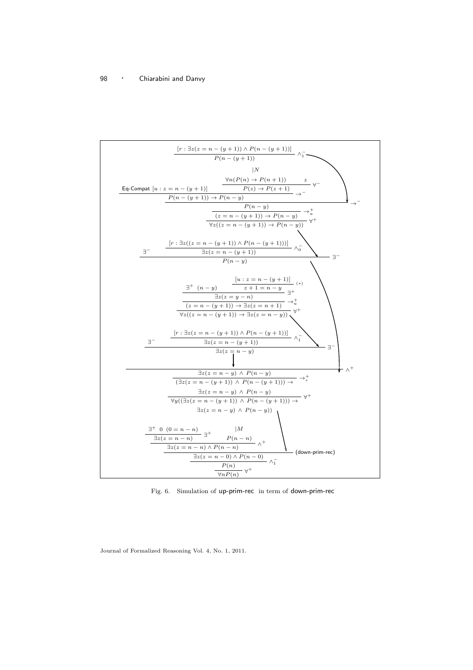

Fig. 6. Simulation of up-prim-rec in term of down-prim-rec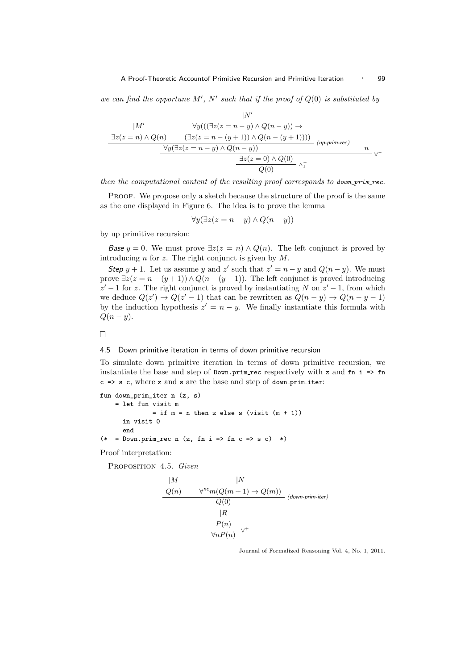*we can find the opportune*  $M'$ ,  $N'$  *such that if the proof of*  $Q(0)$  *is substituted by* 

$$
|N'\atop \underline{\exists z(z=n)\land Q(n)\quad\quad(\exists z(z=n-y)\land Q(n-y))\rightarrow\\\underline{\exists z(z=n)\land Q(n)\quad\quad(\exists z(z=n-(y+1))\land Q(n-(y+1))))\quad}_{\underline{\forall y(\exists z(z=n-y)\land Q(n-y))\quad}\quad(\text{up-prim-rec})\quad n}{\underline{\exists z(z=0)\land Q(0)\quad}\land\frac{\top}{1}}\,\,\text{v-}
$$

*then the computational content of the resulting proof corresponds to down-prim-rec.* 

PROOF. We propose only a sketch because the structure of the proof is the same as the one displayed in Figure 6. The idea is to prove the lemma

$$
\forall y (\exists z (z = n - y) \land Q(n - y))
$$

by up primitive recursion:

Base  $y = 0$ . We must prove  $\exists z(z = n) \land Q(n)$ . The left conjunct is proved by introducing  $n$  for  $z$ . The right conjunct is given by  $M$ .

Step  $y + 1$ . Let us assume y and z' such that  $z' = n - y$  and  $Q(n - y)$ . We must prove  $\exists z(z = n - (y + 1)) \wedge Q(n - (y + 1))$ . The left conjunct is proved introducing  $z' - 1$  for z. The right conjunct is proved by instantiating N on  $z' - 1$ , from which we deduce  $Q(z') \rightarrow Q(z'-1)$  that can be rewritten as  $Q(n-y) \rightarrow Q(n-y-1)$ by the induction hypothesis  $z' = n - y$ . We finally instantiate this formula with  $Q(n-y)$ .

 $\Box$ 

#### 4.5 Down primitive iteration in terms of down primitive recursion

To simulate down primitive iteration in terms of down primitive recursion, we instantiate the base and step of  $Down.\text{prime}$  rec respectively with z and fn i => fn  $c \Rightarrow s \text{ c}$ , where z and s are the base and step of down primiter:

```
fun down_prim_iter n (z, s)
    = let fun visit m
              = if m = n then z else s (visit (m + 1))
     in visit 0
      end
(* = Down.print\_rec n (z, fn i => fn c => s c) *
```
Proof interpretation:

Proposition 4.5. *Given*

$$
\begin{array}{cc}\n|M & |N & \\
\hline\nQ(n) & \forall^{nc} m(Q(m+1) \to Q(m)) & \\
\hline\nQ(0) & \\
|R & \\
\hline\n\frac{P(n)}{\forall n P(n)} \forall^{+}\n\end{array}
$$
(down-prim-iter)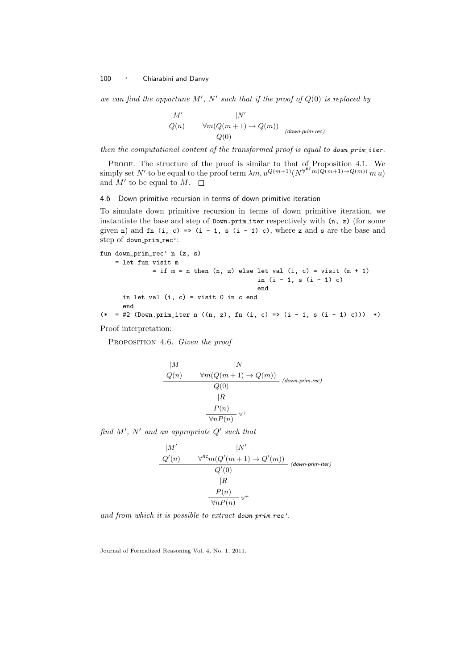*we can find the opportune* M′ *,* N′ *such that if the proof of* Q(0) *is replaced by*

$$
\frac{|M'|}{Q(n)} \qquad \frac{|N'|}{Q(0)} \qquad (down-prim-rec)
$$

*then the computational content of the transformed proof is equal to* down prim iter*.*

PROOF. The structure of the proof is similar to that of Proposition 4.1. We simply set N' to be equal to the proof term  $\lambda m, u^{Q(m+1)}(N^{\sqrt{n}c}m(Q(m+1)\rightarrow Q(m)) m u)$ and  $M'$  to be equal to  $M$ .

4.6 Down primitive recursion in terms of down primitive iteration

To simulate down primitive recursion in terms of down primitive iteration, we instantiate the base and step of  $Down.$  prim iter respectively with  $(n, z)$  (for some given n) and fn (i, c) => (i - 1, s (i - 1) c), where z and s are the base and step of down\_prim\_rec':

```
fun down_prim_rec' n (z, s)
   = let fun visit m
             = if m = n then (n, z) else let val (i, c) = visit (m + 1)in (i - 1, s (i - 1) c)end
     in let val (i, c) = visit 0 in c end
      end
(*) = #2 (Down.println = in ((n, z), fn (i, c) => (i - 1, s (i - 1) c))) *)
```
Proof interpretation:

Proposition 4.6. *Given the proof*

$$
\begin{array}{cc}\n|M & |N \\
\hline\nQ(n) & \forall m(Q(m+1) \to Q(m)) \\
Q(0) & \\
|R & \\
\hline\n\frac{P(n)}{\forall n P(n)} \forall^{+}\n\end{array}
$$
\n(down-prim-rec)

*find* M′ *,* N′ *and an appropriate* Q′ *such that*

$$
\begin{array}{cc}\n|M' & |N' \\
Q'(n) & \forall^{nc} m(Q'(m+1) \to Q'(m)) \\
Q'(0) & |R \\
& P(n) \\
& \forall n P(n) \forall^{+}\n\end{array}
$$
(down-prim-iter)

and from which it is possible to extract down prim rec'.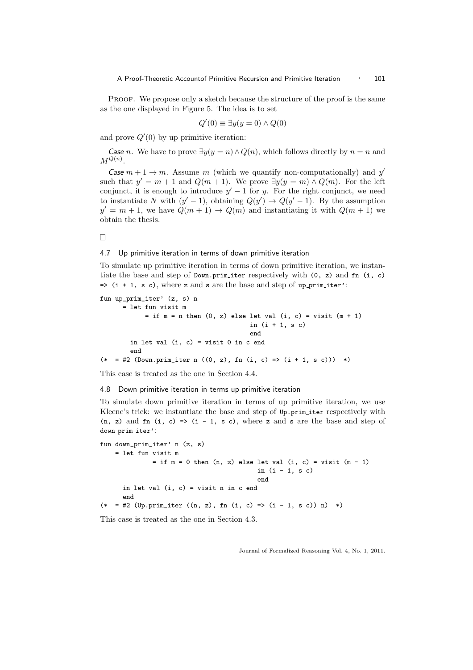PROOF. We propose only a sketch because the structure of the proof is the same as the one displayed in Figure 5. The idea is to set

$$
Q'(0) \equiv \exists y(y=0) \land Q(0)
$$

and prove  $Q'(0)$  by up primitive iteration:

*Case n*. We have to prove  $\exists y(y = n) \land Q(n)$ , which follows directly by  $n = n$  and  $M^{Q(n)}$ .

Case  $m + 1 \rightarrow m$ . Assume m (which we quantify non-computationally) and y' such that  $y' = m + 1$  and  $Q(m + 1)$ . We prove  $\exists y(y = m) \land Q(m)$ . For the left conjunct, it is enough to introduce  $y' - 1$  for y. For the right conjunct, we need to instantiate N with  $(y' - 1)$ , obtaining  $Q(y') \rightarrow Q(y' - 1)$ . By the assumption  $y' = m + 1$ , we have  $Q(m + 1) \rightarrow Q(m)$  and instantiating it with  $Q(m + 1)$  we obtain the thesis.

 $\Box$ 

## 4.7 Up primitive iteration in terms of down primitive iteration

To simulate up primitive iteration in terms of down primitive iteration, we instantiate the base and step of Down.prim\_iter respectively with (0, z) and fn (i, c)  $\Rightarrow$  (i + 1, s c), where z and s are the base and step of up primiter':

```
fun up_prim_iter' (z, s) n
     = let fun visit m
            = if m = n then (0, z) else let val (i, c) = visit (m + 1)in (i + 1, s c)end
       in let val (i, c) = visit 0 in c end
       end
(* = #2 (Down.prim_iter n ((0, z), fn (i, c) => (i + 1, s c))) *)
```
This case is treated as the one in Section 4.4.

#### 4.8 Down primitive iteration in terms up primitive iteration

To simulate down primitive iteration in terms of up primitive iteration, we use Kleene's trick: we instantiate the base and step of Up.prim iter respectively with  $(n, z)$  and  $fn$   $(i, c) \Rightarrow (i - 1, s c)$ , where z and s are the base and step of down\_prim\_iter':

```
fun down_prim_iter' n (z, s)
   = let fun visit m
              = if m = 0 then (n, z) else let val (i, c) = visit (m - 1)in (i - 1, s c)end
      in let val (i, c) = visit n in c end
      end
(* = #2 (Up.prim_iter ((n, z), fn (i, c) => (i - 1, s c)) n) *)
```
This case is treated as the one in Section 4.3.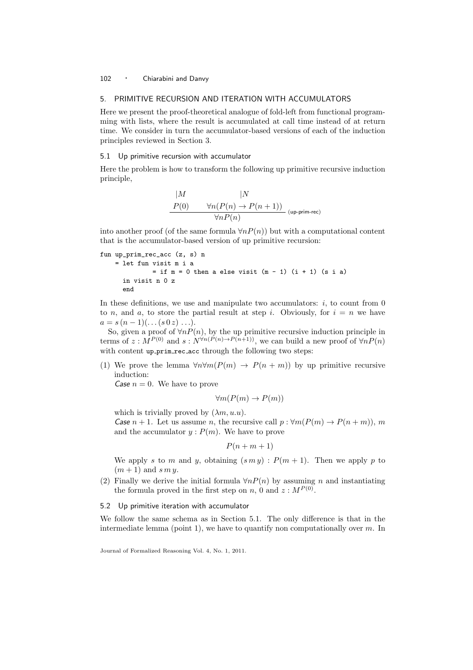## 5. PRIMITIVE RECURSION AND ITERATION WITH ACCUMULATORS

Here we present the proof-theoretical analogue of fold-left from functional programming with lists, where the result is accumulated at call time instead of at return time. We consider in turn the accumulator-based versions of each of the induction principles reviewed in Section 3.

## 5.1 Up primitive recursion with accumulator

Here the problem is how to transform the following up primitive recursive induction principle,

$$
\begin{array}{cc}\n|M & |N \\
P(0) & \forall n(P(n) \to P(n+1)) \\
\hline\n\forall nP(n)\n\end{array}
$$
 (up-prim-rec)

into another proof (of the same formula  $\forall n P(n)$ ) but with a computational content that is the accumulator-based version of up primitive recursion:

```
fun up_prim_rec_acc (z, s) n
    = let fun visit m i a
             = if m = 0 then a else visit (m - 1) (i + 1) (s i a)in visit n 0 z
      end
```
In these definitions, we use and manipulate two accumulators:  $i$ , to count from 0 to n, and a, to store the partial result at step i. Obviously, for  $i = n$  we have  $a = s (n - 1) (\dots (s 0 z) \dots).$ 

So, given a proof of  $\forall n P(n)$ , by the up primitive recursive induction principle in terms of  $z : M^{P(0)}$  and  $s : N^{\forall n(P(n) \to P(n+1))}$ , we can build a new proof of  $\forall n P(n)$ with content up prim rec acc through the following two steps:

(1) We prove the lemma  $\forall n \forall m (P(m) \rightarrow P(n+m))$  by up primitive recursive induction:

*Case*  $n = 0$ *.* We have to prove

$$
\forall m(P(m) \to P(m))
$$

which is trivially proved by  $(\lambda m, u.u)$ . Case  $n + 1$ . Let us assume n, the recursive call  $p : \forall m(P(m) \rightarrow P(n+m))$ , m and the accumulator  $y : P(m)$ . We have to prove

 $P(n + m + 1)$ 

We apply s to m and y, obtaining  $(s \, m \, y)$ :  $P(m + 1)$ . Then we apply p to  $(m+1)$  and s m y.

(2) Finally we derive the initial formula  $\forall n P(n)$  by assuming n and instantiating the formula proved in the first step on n, 0 and  $z : M^{(0)}$ .

#### 5.2 Up primitive iteration with accumulator

We follow the same schema as in Section 5.1. The only difference is that in the intermediate lemma (point 1), we have to quantify non computationally over  $m$ . In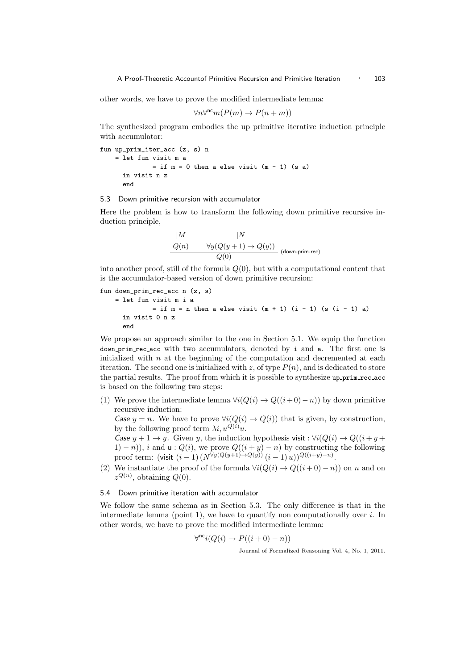other words, we have to prove the modified intermediate lemma:

$$
\forall n \forall^{\text{nc}} m (P(m) \to P(n+m))
$$

The synthesized program embodies the up primitive iterative induction principle with accumulator:

```
fun up_prim_iter_acc (z, s) n
    = let fun visit m a
              = if m = 0 then a else visit (m - 1) (s a)
      in visit n z
      end
```
#### 5.3 Down primitive recursion with accumulator

Here the problem is how to transform the following down primitive recursive induction principle,

$$
\begin{array}{cc}\n|M & |N & \\
\hline\nQ(n) & \forall y (Q(y+1) \to Q(y)) & \\
\hline\nQ(0) & & \text{(down-prim-rec)}\n\end{array}
$$

into another proof, still of the formula  $Q(0)$ , but with a computational content that is the accumulator-based version of down primitive recursion:

```
fun down_prim_rec_acc n (z, s)
    = let fun visit m i a
              = if m = n then a else visit (m + 1) (i - 1) (s (i - 1) a)in visit 0 n z
      end
```
We propose an approach similar to the one in Section 5.1. We equip the function down prim rec acc with two accumulators, denoted by i and a. The first one is initialized with  $n$  at the beginning of the computation and decremented at each iteration. The second one is initialized with z, of type  $P(n)$ , and is dedicated to store the partial results. The proof from which it is possible to synthesize up prim rec acc is based on the following two steps:

(1) We prove the intermediate lemma  $\forall i(Q(i) \rightarrow Q((i+0)-n))$  by down primitive recursive induction:

Case  $y = n$ . We have to prove  $\forall i (Q(i) \rightarrow Q(i))$  that is given, by construction, by the following proof term  $\lambda i, u^{Q(i)}u$ .

Case  $y + 1 \rightarrow y$ . Given y, the induction hypothesis visit :  $\forall i (Q(i) \rightarrow Q((i + y +$ 1) – n)), i and  $u: Q(i)$ , we prove  $Q((i + y) - n)$  by constructing the following proof term: (visit  $(i - 1) (N^{\forall y(Q(y+1)) \to Q(y))} (i - 1) u)$ ) $^{Q((i+y)-n)}$ .

(2) We instantiate the proof of the formula  $\forall i(Q(i) \rightarrow Q((i+0) - n))$  on n and on  $z^{Q(n)}$ , obtaining  $Q(0)$ .

#### 5.4 Down primitive iteration with accumulator

We follow the same schema as in Section 5.3. The only difference is that in the intermediate lemma (point 1), we have to quantify non computationally over  $i$ . In other words, we have to prove the modified intermediate lemma:

$$
\forall^{\mathsf{nc}} i (Q(i) \to P((i+0) - n))
$$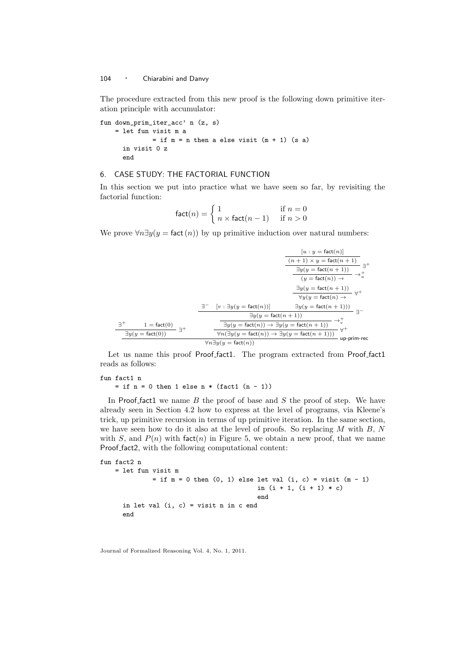The procedure extracted from this new proof is the following down primitive iteration principle with accumulator:

fun down\_prim\_iter\_acc' n (z, s) = let fun visit m a  $=$  if  $m = n$  then a else visit  $(m + 1)$  (s a) in visit 0 z end

## 6. CASE STUDY: THE FACTORIAL FUNCTION

In this section we put into practice what we have seen so far, by revisiting the factorial function:

$$
\text{fact}(n) = \begin{cases} 1 & \text{if } n = 0\\ n \times \text{fact}(n-1) & \text{if } n > 0 \end{cases}
$$

We prove  $\forall n \exists y (y = \text{fact}(n))$  by up primitive induction over natural numbers:

|                                            |     |                                                                                                         | $[u: y = \text{fact}(n)]$                                                       |  |
|--------------------------------------------|-----|---------------------------------------------------------------------------------------------------------|---------------------------------------------------------------------------------|--|
|                                            |     |                                                                                                         | $\frac{(n+1)\times y = \mathrm{fact}(n+1)}{\exists y(y = \mathrm{fact}(n+1))}$  |  |
|                                            |     |                                                                                                         |                                                                                 |  |
|                                            |     |                                                                                                         | $(y = \text{fact}(n)) \rightarrow$                                              |  |
|                                            |     |                                                                                                         | $\exists y(y = \text{fact}(n+1))$<br>$\forall y(y = \text{fact}(n) \rightarrow$ |  |
|                                            |     |                                                                                                         |                                                                                 |  |
|                                            | 37. | $[v : \exists y (y = \text{fact}(n))]$                                                                  | $\exists y(y = \text{fact}(n+1)))$                                              |  |
|                                            |     | $\exists y(y = \text{fact}(n + 1))$                                                                     |                                                                                 |  |
| コキ<br>$1 = \text{fact}(0)$                 |     | $\rightarrow_v^+$<br>$\exists y (y = \mathsf{fact}(n)) \rightarrow \exists y (y = \mathsf{fact}(n+1))$  |                                                                                 |  |
| $\exists y(y = \text{fact}(0))$            |     | $\forall n(\exists y(y = \text{fact}(n)) \rightarrow \exists y(y = \text{fact}(n + 1)))$<br>up-prim-rec |                                                                                 |  |
| $\forall n \exists y (y = \text{fact}(n))$ |     |                                                                                                         |                                                                                 |  |

Let us name this proof Proof fact1. The program extracted from Proof fact1 reads as follows:

```
fun fact1 n
   = if n = 0 then 1 else n * (fact1 (n - 1))
```
In Proof fact1 we name  $B$  the proof of base and  $S$  the proof of step. We have already seen in Section 4.2 how to express at the level of programs, via Kleene's trick, up primitive recursion in terms of up primitive iteration. In the same section, we have seen how to do it also at the level of proofs. So replacing  $M$  with  $B, N$ with S, and  $P(n)$  with fact $(n)$  in Figure 5, we obtain a new proof, that we name Proof fact2, with the following computational content:

```
fun fact2 n
   = let fun visit m
             = if m = 0 then (0, 1) else let val (i, c) = visit (m - 1)in (i + 1, (i + 1) * c)end
      in let val (i, c) = visit n in c end
      end
```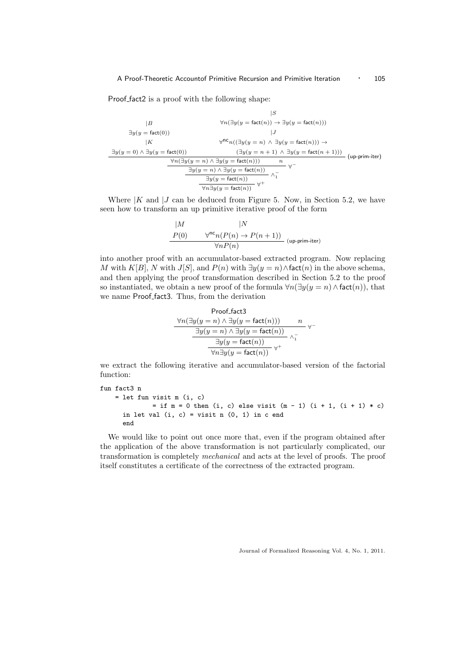Proof fact2 is a proof with the following shape:

$$
\begin{array}{ll}\n|S & & & |S \\
\hline\n\exists y(y = \text{fact}(0)) & & |J \\
\exists y(y = 0) \land \exists y(y = \text{fact}(0)) & & |J\n\end{array}
$$
\n
$$
\exists y(y = 0) \land \exists y(y = \text{fact}(0)) \land \exists y(y = \text{fact}(0)) \rightarrow \exists y(y = 0) \land \exists y(y = \text{fact}(n)) \rightarrow \forall n(\exists y(y = n) \land \exists y(y = \text{fact}(n))) \rightarrow \forall n(\exists y(y = n) \land \exists y(y = \text{fact}(n))) \land \exists y(y = \text{fact}(n)) \land \exists y(y = \text{fact}(n)) \land \exists y(y = \text{fact}(n)) \land \forall n(\exists y(y = \text{fact}(n)) \land \forall n(\exists y(y = \text{fact}(n)) \land \forall n(\exists y(y = \text{fact}(n)) \land \forall n(\exists y(y = \text{fact}(n)) \land \forall n(\exists y(y = \text{fact}(n)) \land \forall n(\exists y(y = \text{fact}(n)) \land \forall n(\exists y(y = \text{fact}(n)) \land \forall n(\exists y(y = \text{fact}(n)) \land \forall n(\exists y(y = \text{fact}(n)) \land \forall n(\exists y(y = \text{fact}(n)) \land \forall n(\exists y(y = \text{fact}(n)) \land \forall n(\exists y(y = \text{fact}(n)) \land \forall n(\exists y(y = \text{fact}(n)) \land \forall n(\exists y(y = \text{fact}(n)) \land \forall n(\exists y(y = \text{fact}(n))) \land \forall n(\exists y(y = \text{fact}(n)) \land \forall n(\exists y(y = \text{fact}(n)) \land \forall n(\exists y(y = \text{fact}(n))) \land \forall n(\exists y(y = \text{fact}(n)) \land \forall n(\exists y(y = \text{fact}(n)) \land \forall n(\exists y(y = \text{fact}(n)) \land \forall n(\exists y(y = \text{fact}(n)) \land \forall n(\exists y(y = \text{fact}(n)) \land \forall n(\exists y(y = \text{fact}(n)) \land \forall n(\exists y(y = \text{fact}(n)) \land \forall n(\exists y(y = \text{fact}(n)) \land \forall n(\exists y(y = \text{fact}(n)) \land \forall n(\exists y(y = \text{fact}(n)) \land \forall n(\exists y(y = \text{fact}(n)) \land \forall n(\exists y(y = \text{fact}(n)) \land \forall n(\exists y(y = \text{fact}(n)) \land
$$

Where  $|K \rangle$  and  $|J \rangle$  can be deduced from Figure 5. Now, in Section 5.2, we have seen how to transform an up primitive iterative proof of the form

$$
\begin{array}{cc} |M & |N \\ \hline P(0) & \forall^{\text{nc}} n(P(n) \rightarrow P(n+1)) \\ & \forall n P(n) \end{array} \text{(up-prim-iter)}
$$

into another proof with an accumulator-based extracted program. Now replacing M with K[B], N with J[S], and  $P(n)$  with  $\exists y(y=n) \land \text{fact}(n)$  in the above schema, and then applying the proof transformation described in Section 5.2 to the proof so instantiated, we obtain a new proof of the formula  $\forall n(\exists y(y = n) \land \mathsf{fact}(n))$ , that we name Proof fact3. Thus, from the derivation

Proof.fact3  
\n
$$
\forall n(\exists y(y = n) \land \exists y(y = \text{fact}(n))) \qquad n
$$
\n
$$
\frac{\exists y(y = n) \land \exists y(y = \text{fact}(n))}{\exists y(y = \text{fact}(n))} \land \frac{1}{1}
$$
\n
$$
\frac{\exists y(y = \text{fact}(n))}{\forall n \exists y(y = \text{fact}(n))} \lor \frac{1}{1}
$$

we extract the following iterative and accumulator-based version of the factorial function:

```
fun fact3 n
    = let fun visit m (i, c)
             = if m = 0 then (i, c) else visit (m - 1) (i + 1, (i + 1) * c)
     in let val (i, c) = visit n (0, 1) in c end
     end
```
We would like to point out once more that, even if the program obtained after the application of the above transformation is not particularly complicated, our transformation is completely *mechanical* and acts at the level of proofs. The proof itself constitutes a certificate of the correctness of the extracted program.

Journal of Formalized Reasoning Vol. 4, No. 1, 2011.

−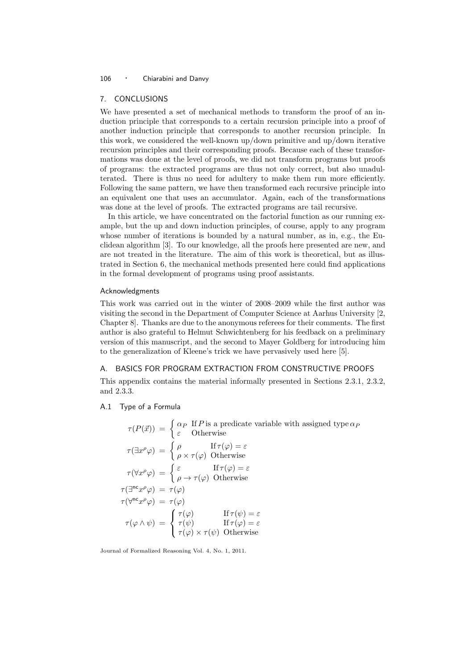## 7. CONCLUSIONS

We have presented a set of mechanical methods to transform the proof of an induction principle that corresponds to a certain recursion principle into a proof of another induction principle that corresponds to another recursion principle. In this work, we considered the well-known up/down primitive and up/down iterative recursion principles and their corresponding proofs. Because each of these transformations was done at the level of proofs, we did not transform programs but proofs of programs: the extracted programs are thus not only correct, but also unadulterated. There is thus no need for adultery to make them run more efficiently. Following the same pattern, we have then transformed each recursive principle into an equivalent one that uses an accumulator. Again, each of the transformations was done at the level of proofs. The extracted programs are tail recursive.

In this article, we have concentrated on the factorial function as our running example, but the up and down induction principles, of course, apply to any program whose number of iterations is bounded by a natural number, as in, e.g., the Euclidean algorithm [3]. To our knowledge, all the proofs here presented are new, and are not treated in the literature. The aim of this work is theoretical, but as illustrated in Section 6, the mechanical methods presented here could find applications in the formal development of programs using proof assistants.

## Acknowledgments

This work was carried out in the winter of 2008–2009 while the first author was visiting the second in the Department of Computer Science at Aarhus University [2, Chapter 8]. Thanks are due to the anonymous referees for their comments. The first author is also grateful to Helmut Schwichtenberg for his feedback on a preliminary version of this manuscript, and the second to Mayer Goldberg for introducing him to the generalization of Kleene's trick we have pervasively used here [5].

#### A. BASICS FOR PROGRAM EXTRACTION FROM CONSTRUCTIVE PROOFS

This appendix contains the material informally presented in Sections 2.3.1, 2.3.2, and 2.3.3.

#### A.1 Type of a Formula

$$
\tau(P(\vec{x})) = \begin{cases}\n\alpha_P \text{ If } P \text{ is a predicate variable with assigned type } \alpha_P \\
\epsilon \text{ Otherwise} \\
\tau(\exists x^\rho \varphi) = \begin{cases}\n\rho & \text{If } \tau(\varphi) = \epsilon \\
\rho \times \tau(\varphi) & \text{Otherwise}\n\end{cases} \\
\tau(\forall x^\rho \varphi) = \begin{cases}\n\epsilon & \text{If } \tau(\varphi) = \epsilon \\
\rho \to \tau(\varphi) & \text{Otherwise}\n\end{cases} \\
\tau(\exists^{\mathsf{nc}} x^\rho \varphi) = \tau(\varphi) \\
\tau(\forall^{\mathsf{nc}} x^\rho \varphi) = \tau(\varphi) \\
\tau(\varphi \wedge \psi) = \begin{cases}\n\tau(\varphi) & \text{If } \tau(\psi) = \epsilon \\
\tau(\varphi) & \text{If } \tau(\varphi) = \epsilon \\
\tau(\varphi) \times \tau(\psi) & \text{Otherwise}\n\end{cases}
$$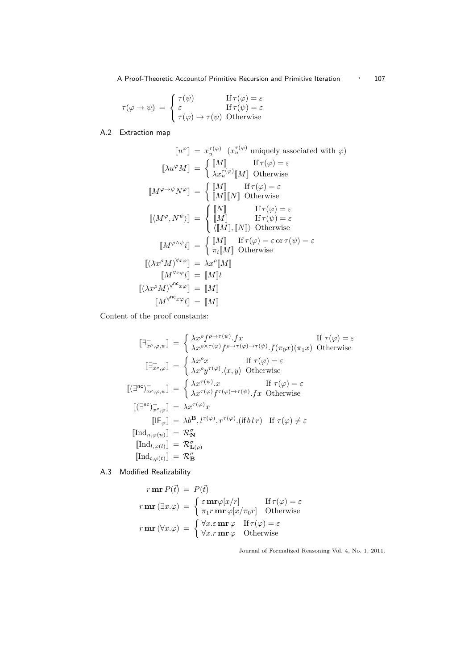A Proof-Theoretic Accountof Primitive Recursion and Primitive Iteration • 107

$$
\tau(\varphi \to \psi) = \begin{cases} \tau(\psi) & \text{If } \tau(\varphi) = \varepsilon \\ \varepsilon & \text{If } \tau(\psi) = \varepsilon \\ \tau(\varphi) \to \tau(\psi) & \text{Otherwise} \end{cases}
$$

# A.2 Extraction map

$$
\llbracket u^{\varphi} \rrbracket = x_u^{\tau(\varphi)} \quad (x_u^{\tau(\varphi)} \text{ uniquely associated with } \varphi)
$$
\n
$$
\llbracket \lambda u^{\varphi} M \rrbracket = \begin{cases}\n\llbracket M \rrbracket & \text{If } \tau(\varphi) = \varepsilon \\
\lambda x_u^{\tau(\varphi)} \llbracket M \rrbracket & \text{Otherwise}\n\end{cases}
$$
\n
$$
\llbracket M^{\varphi \to \psi} N^{\varphi} \rrbracket = \begin{cases}\n\llbracket M \rrbracket & \text{If } \tau(\varphi) = \varepsilon \\
\llbracket M \rrbracket \llbracket N \rrbracket & \text{Otherwise}\n\end{cases}
$$
\n
$$
\llbracket \langle M^{\varphi}, N^{\psi} \rangle \rrbracket = \begin{cases}\n\llbracket M \rrbracket & \text{If } \tau(\varphi) = \varepsilon \\
\llbracket M \rrbracket, \llbracket N \rrbracket & \text{Otherwise}\n\end{cases}
$$
\n
$$
\llbracket M^{\varphi \wedge \psi} i \rrbracket = \begin{cases}\n\llbracket M \rrbracket & \text{If } \tau(\varphi) = \varepsilon \text{ or } \tau(\psi) = \varepsilon \\
\pi_i \llbracket M \rrbracket & \text{Otherwise}\n\end{cases}
$$
\n
$$
\llbracket (\lambda x^{\rho} M)^{\forall x \varphi} \rrbracket = \lambda x^{\rho} \llbracket M \rrbracket
$$
\n
$$
\llbracket (M^{\forall x \varphi} t] = \llbracket M \rrbracket
$$
\n
$$
\llbracket (M^{\forall x \varphi} t] = \llbracket M \rrbracket
$$
\n
$$
\llbracket M^{\forall x \varphi} t \rrbracket = \llbracket M \rrbracket
$$

Content of the proof constants:

$$
\begin{aligned}\n\left[\exists_{x^{\rho},\varphi,\psi}^{-1}\right] &= \begin{cases}\n\lambda x^{\rho}f^{\rho\rightarrow\tau(\psi)}.fx & \text{If } \tau(\varphi) = \varepsilon \\
\lambda x^{\rho\times\tau(\varphi)}f^{\rho\rightarrow\tau(\varphi)\rightarrow\tau(\psi)}.f(\pi_{0}x)(\pi_{1}x) & \text{Otherwise}\n\end{cases} \\
\left[\exists_{x^{\rho},\varphi}^{\perp}\right] &= \begin{cases}\n\lambda x^{\rho}x & \text{If } \tau(\varphi) = \varepsilon \\
\lambda x^{\rho}y^{\tau(\varphi)}. \langle x, y \rangle & \text{Otherwise}\n\end{cases} \\
\left[\left(\exists^{\mathsf{nc}}\right)_{x^{\rho},\varphi,\psi}^{-1}\right] &= \begin{cases}\n\lambda x^{\tau(\psi)}.x & \text{If } \tau(\varphi) = \varepsilon \\
\lambda x^{\tau(\varphi)}f^{\tau(\varphi)\rightarrow\tau(\psi)}.fx & \text{Otherwise}\n\end{cases} \\
\left[\left(\exists^{\mathsf{nc}}\right)_{x^{\rho},\varphi}^{+}\right] &= \lambda x^{\tau(\varphi)}x \\
\left[\left[\mathsf{IF}_{\varphi}\right] &= \lambda b^{\mathsf{B}}, l^{\tau(\varphi)}, r^{\tau(\varphi)}.(\text{if } b\,l\,r) & \text{If } \tau(\varphi) \neq \varepsilon\n\end{cases} \\
\left[\left[\mathsf{Ind}_{l,\varphi(l)}\right] = \mathcal{R}_{\mathbf{D}}^{\sigma} \\
\left[\left[\mathsf{Ind}_{l,\varphi(t)}\right] = \mathcal{R}_{\mathbf{B}}^{\sigma}\n\right]\n\end{aligned}
$$

A.3 Modified Realizability

$$
r \mathbf{m} \mathbf{r} P(\vec{t}) = P(\vec{t})
$$
  
\n
$$
r \mathbf{m} \mathbf{r} (\exists x. \varphi) = \begin{cases} \varepsilon \mathbf{m} \mathbf{r} \varphi[x/r] & \text{If } \tau(\varphi) = \varepsilon \\ \pi_1 r \mathbf{m} \mathbf{r} \varphi[x/\pi_0 r] & \text{Otherwise} \end{cases}
$$
  
\n
$$
r \mathbf{m} \mathbf{r} (\forall x. \varphi) = \begin{cases} \forall x. \varepsilon \mathbf{m} \mathbf{r} \varphi & \text{If } \tau(\varphi) = \varepsilon \\ \forall x. r \mathbf{m} \mathbf{r} \varphi & \text{Otherwise} \end{cases}
$$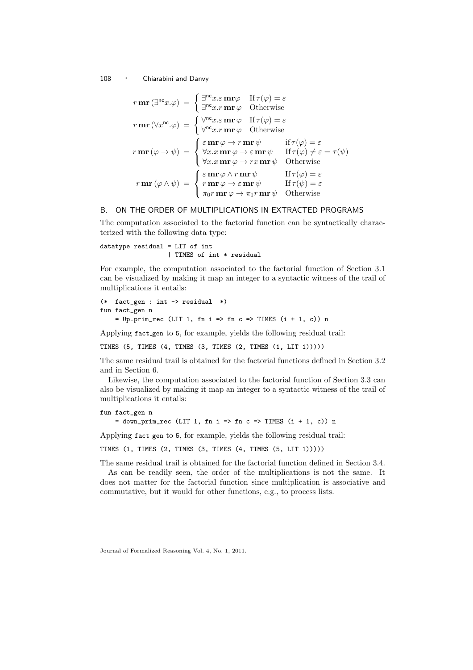$$
r \mathbf{m} \mathbf{r} (\exists^{\mathsf{nc}} x.\varphi) = \begin{cases} \exists^{\mathsf{nc}} x.\varepsilon \mathbf{m} \mathsf{r} \varphi & \text{If } \tau(\varphi) = \varepsilon \\ \exists^{\mathsf{nc}} x.r \mathbf{m} \mathsf{r} \varphi & \text{Otherwise} \end{cases}
$$

$$
r \mathbf{m} \mathbf{r} (\forall x^{\mathsf{nc}}.\varphi) = \begin{cases} \forall^{\mathsf{nc}} x.\varepsilon \mathbf{m} \mathsf{r} \varphi & \text{If } \tau(\varphi) = \varepsilon \\ \forall^{\mathsf{nc}} x.r \mathbf{m} \mathsf{r} \varphi & \text{otherwise} \end{cases}
$$

$$
r \mathbf{m} \mathsf{r} (\varphi \to \psi) = \begin{cases} \varepsilon \mathbf{m} \mathsf{r} \varphi \to r \mathbf{m} \mathsf{r} \psi & \text{if } \tau(\varphi) = \varepsilon \\ \forall x.x \mathbf{m} \mathsf{r} \varphi \to \varepsilon \mathbf{m} \mathsf{r} \psi & \text{If } \tau(\varphi) \neq \varepsilon = \tau(\psi) \\ \forall x.x \mathbf{m} \mathsf{r} \varphi \to rx \mathbf{m} \mathsf{r} \psi & \text{If } \tau(\varphi) = \varepsilon \\ r \mathbf{m} \mathsf{r} (\varphi \land \psi) = \begin{cases} \varepsilon \mathbf{m} \mathsf{r} \varphi \land r \mathbf{m} \mathsf{r} \psi & \text{If } \tau(\psi) = \varepsilon \\ r \mathbf{m} \mathsf{r} \varphi \to \varepsilon \mathbf{m} \mathsf{r} \psi & \text{If } \tau(\psi) = \varepsilon \\ \pi_0 r \mathbf{m} \mathsf{r} \varphi \to \pi_1 r \mathbf{m} \mathsf{r} \psi & \text{Otherwise} \end{cases}
$$

## B. ON THE ORDER OF MULTIPLICATIONS IN EXTRACTED PROGRAMS

The computation associated to the factorial function can be syntactically characterized with the following data type:

datatype residual = LIT of int | TIMES of int \* residual

For example, the computation associated to the factorial function of Section 3.1 can be visualized by making it map an integer to a syntactic witness of the trail of multiplications it entails:

```
(* fact gen : int \rightarrow residual *)fun fact_gen n
    = Up.prim_rec (LIT 1, fn i => fn c => TIMES (i + 1, c)) n
```
Applying fact gen to 5, for example, yields the following residual trail:

TIMES (5, TIMES (4, TIMES (3, TIMES (2, TIMES (1, LIT 1)))))

The same residual trail is obtained for the factorial functions defined in Section 3.2 and in Section 6.

Likewise, the computation associated to the factorial function of Section 3.3 can also be visualized by making it map an integer to a syntactic witness of the trail of multiplications it entails:

```
fun fact_gen n
```
 $=$  down\_prim\_rec (LIT 1, fn i => fn c => TIMES (i + 1, c)) n

Applying fact gen to 5, for example, yields the following residual trail:

TIMES (1, TIMES (2, TIMES (3, TIMES (4, TIMES (5, LIT 1)))))

The same residual trail is obtained for the factorial function defined in Section 3.4.

As can be readily seen, the order of the multiplications is not the same. It does not matter for the factorial function since multiplication is associative and commutative, but it would for other functions, e.g., to process lists.